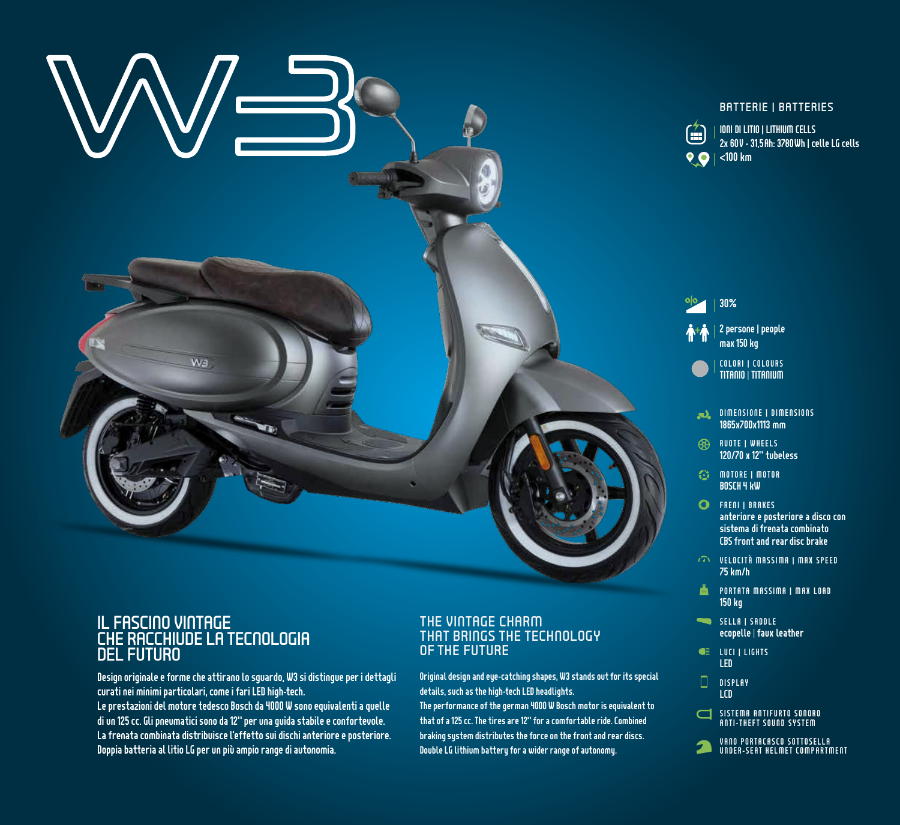

### BATTERIE | BATTERIES



IONI DI LITIO | LITHIUM CELLS 2x 60V - 31,5Ah: 3780Wh | celle LG cells

### + oļo 2 persone | people max 150 kg 30% COLORI | COLOURS TITANIO | TITANIUM

- DIMENSIONE | DIMENSIONS 1865x700x1113 mm
- RUOTE | WHEELS 120/70 x 12" tubeless
- **motore | motor** BOSCH 4 kW
- **C** FRENI | BRAKES anteriore e posteriore a disco con sistema di frenata combinato CBS front and rear disc brake
- VELOCITÀ MASSIMA | MAX SPEED 75 km/h
- **PORTATA MASSIMA | MAX LOAD** 150 kg
- SELLA I SADDLE ecopelle | faux leather
- **QE** LUCI I LIGHTS LED
- О **DISPLAY** LCD
- $\Box$ SISTEMA ANTIFURTO SONORO ANTI-THEFT SOUND SYSTEM
- VANO PORTACASCO SOTTOSELLA UNDER-SEAT HELMET COMPARTMENT

# IL FASCINO VINTAGE CHE RACCHIUDE LA TECNOLOGIA DEL FUTURO

Design originale e forme che attirano lo sguardo, W3 si distingue per i dettagli curati nei minimi particolari, come i fari LED high-tech. Le prestazioni del motore tedesco Bosch da 4000 W sono equivalenti a quelle di un 125 cc. Gli pneumatici sono da 12" per una guida stabile e confortevole. La frenata combinata distribuisce l'effetto sui dischi anteriore e posteriore. Doppia batteria al litio LG per un più ampio range di autonomia.

# THE VINTAGE CHARM THAT BRINGS THE TECHNOLOGY OF THE FUTURE

Original design and eye-catching shapes, W3 stands out for its special details, such as the high-tech LED headlights.

The performance of the german 4000 W Bosch motor is equivalent to that of a 125 cc. The tires are 12" for a comfortable ride. Combined braking system distributes the force on the front and rear discs. Double LG lithium battery for a wider range of autonomy.